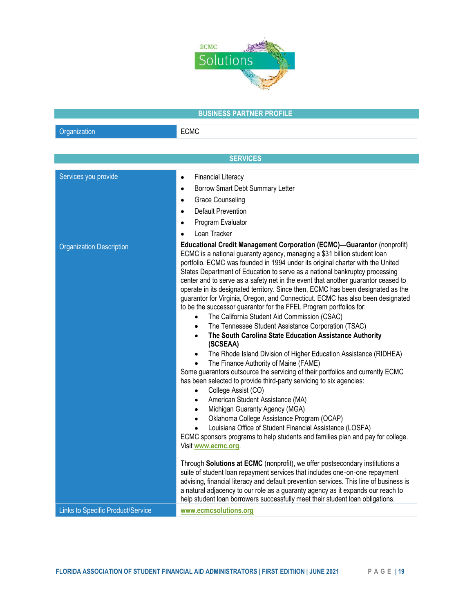

## BUSINESS PARTNER PROFILE

Organization **ECMC** 

**SERVICES** Services you provide Financial Literacy Borrow \$mart Debt Summary Letter Grace Counseling Default Prevention Program Evaluator Loan Tracker Organization Description **Educational Credit Management Corporation (ECMC)—Guarantor** (nonprofit) ECMC is a national guaranty agency, managing a \$31 billion student loan portfolio. ECMC was founded in 1994 under its original charter with the United States Department of Education to serve as a national bankruptcy processing center and to serve as a safety net in the event that another guarantor ceased to operate in its designated territory. Since then, ECMC has been designated as the guarantor for Virginia, Oregon, and Connecticut. ECMC has also been designated to be the successor guarantor for the FFEL Program portfolios for: The California Student Aid Commission (CSAC) The Tennessee Student Assistance Corporation (TSAC) The South Carolina State Education Assistance Authority (SCSEAA) The Rhode Island Division of Higher Education Assistance (RIDHEA) The Finance Authority of Maine (FAME) Some guarantors outsource the servicing of their portfolios and currently ECMC has been selected to provide third-party servicing to six agencies: College Assist (CO) American Student Assistance (MA) Michigan Guaranty Agency (MGA) Oklahoma College Assistance Program (OCAP) Louisiana Office of Student Financial Assistance (LOSFA) ECMC sponsors programs to help students and families plan and pay for college. Visit www.ecmc.org. Through Solutions at ECMC (nonprofit), we offer postsecondary institutions a suite of student loan repayment services that includes one-on-one repayment advising, financial literacy and default prevention services. This line of business is a natural adjacency to our role as a guaranty agency as it expands our reach to help student loan borrowers successfully meet their student loan obligations. Links to Specific Product/Service www.ecmcsolutions.org